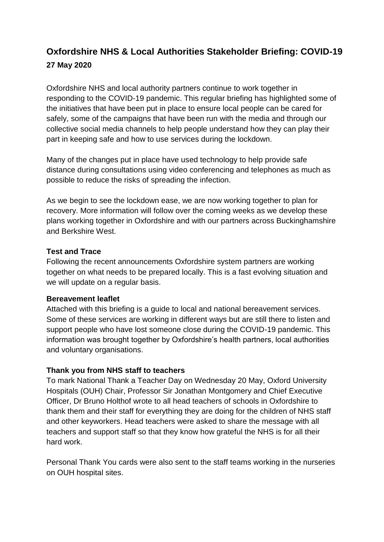# **Oxfordshire NHS & Local Authorities Stakeholder Briefing: COVID-19 27 May 2020**

Oxfordshire NHS and local authority partners continue to work together in responding to the COVID-19 pandemic. This regular briefing has highlighted some of the initiatives that have been put in place to ensure local people can be cared for safely, some of the campaigns that have been run with the media and through our collective social media channels to help people understand how they can play their part in keeping safe and how to use services during the lockdown.

Many of the changes put in place have used technology to help provide safe distance during consultations using video conferencing and telephones as much as possible to reduce the risks of spreading the infection.

As we begin to see the lockdown ease, we are now working together to plan for recovery. More information will follow over the coming weeks as we develop these plans working together in Oxfordshire and with our partners across Buckinghamshire and Berkshire West.

### **Test and Trace**

Following the recent announcements Oxfordshire system partners are working together on what needs to be prepared locally. This is a fast evolving situation and we will update on a regular basis.

### **Bereavement leaflet**

Attached with this briefing is a guide to local and national bereavement services. Some of these services are working in different ways but are still there to listen and support people who have lost someone close during the COVID-19 pandemic. This information was brought together by Oxfordshire's health partners, local authorities and voluntary organisations.

### **Thank you from NHS staff to teachers**

To mark National Thank a Teacher Day on Wednesday 20 May, Oxford University Hospitals (OUH) Chair, Professor Sir Jonathan Montgomery and Chief Executive Officer, Dr Bruno Holthof wrote to all head teachers of schools in Oxfordshire to thank them and their staff for everything they are doing for the children of NHS staff and other keyworkers. Head teachers were asked to share the message with all teachers and support staff so that they know how grateful the NHS is for all their hard work.

Personal Thank You cards were also sent to the staff teams working in the nurseries on OUH hospital sites.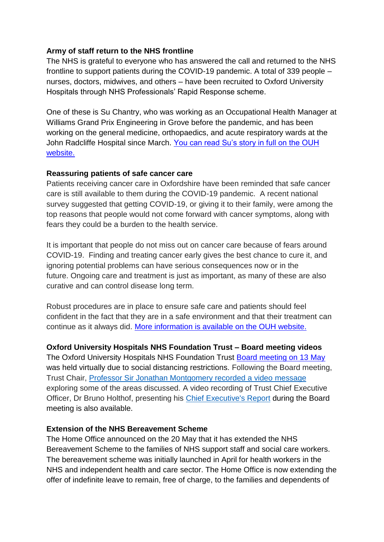### **Army of staff return to the NHS frontline**

The NHS is grateful to everyone who has answered the call and returned to the NHS frontline to support patients during the COVID-19 pandemic. A total of 339 people – nurses, doctors, midwives, and others – have been recruited to Oxford University Hospitals through NHS Professionals' Rapid Response scheme.

One of these is Su Chantry, who was working as an Occupational Health Manager at Williams Grand Prix Engineering in Grove before the pandemic, and has been working on the general medicine, orthopaedics, and acute respiratory wards at the John Radcliffe Hospital since March. [You can read Su's story in full on the OUH](https://www.ouh.nhs.uk/news/article.aspx?id=1249)  [website.](https://www.ouh.nhs.uk/news/article.aspx?id=1249)

### **Reassuring patients of safe cancer care**

Patients receiving cancer care in Oxfordshire have been reminded that safe cancer care is still available to them during the COVID-19 pandemic. A recent national survey suggested that getting COVID-19, or giving it to their family, were among the top reasons that people would not come forward with cancer symptoms, along with fears they could be a burden to the health service.

It is important that people do not miss out on cancer care because of fears around COVID-19. Finding and treating cancer early gives the best chance to cure it, and ignoring potential problems can have serious consequences now or in the future. Ongoing care and treatment is just as important, as many of these are also curative and can control disease long term.

Robust procedures are in place to ensure safe care and patients should feel confident in the fact that they are in a safe environment and that their treatment can continue as it always did. [More information is available on the OUH website.](https://www.ouh.nhs.uk/news/article.aspx?id=1261)

### **Oxford University Hospitals NHS Foundation Trust – Board meeting videos**

The Oxford University Hospitals NHS Foundation Trust [Board meeting on 13 May](https://www.ouh.nhs.uk/about/trust-board/2020/may/default.aspx) was held virtually due to social distancing restrictions. Following the Board meeting, Trust Chair, [Professor Sir Jonathan Montgomery recorded a video message](https://www.youtube.com/watch?v=JmDmsllGd8k) exploring some of the areas discussed. A video recording of Trust Chief Executive Officer, Dr Bruno Holthof, presenting his [Chief Executive's Report](https://www.youtube.com/watch?v=sxuegut_WEg&feature=youtu.be) during the Board meeting is also available.

#### **Extension of the NHS Bereavement Scheme**

The Home Office announced on the 20 May that it has extended the NHS Bereavement Scheme to the families of NHS support staff and social care workers. The bereavement scheme was initially launched in April for health workers in the NHS and independent health and care sector. The Home Office is now extending the offer of indefinite leave to remain, free of charge, to the families and dependents of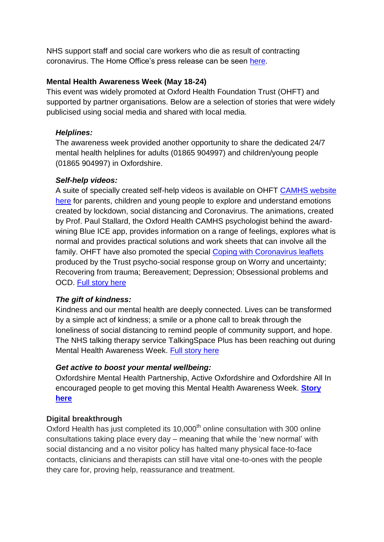NHS support staff and social care workers who die as result of contracting coronavirus. The Home Office's press release can be seen [here.](https://www.gov.uk/government/news/home-office-extends-bereavement-scheme-to-nhs-support-staff-and-social-care-workers)

## **Mental Health Awareness Week (May 18-24)**

This event was widely promoted at Oxford Health Foundation Trust (OHFT) and supported by partner organisations. Below are a selection of stories that were widely publicised using social media and shared with local media.

### *Helplines:*

The awareness week provided another opportunity to share the dedicated 24/7 mental health helplines for adults (01865 904997) and children/young people (01865 904997) in Oxfordshire.

## *Self-help videos:*

A suite of specially created self-help videos is available on OHFT [CAMHS website](https://www.oxfordhealth.nhs.uk/camhs/carers/self-help/)  [here](https://www.oxfordhealth.nhs.uk/camhs/carers/self-help/) for parents, children and young people to explore and understand emotions created by lockdown, social distancing and Coronavirus. The animations, created by Prof. Paul Stallard, the Oxford Health CAMHS psychologist behind the awardwining Blue ICE app, provides information on a range of feelings, explores what is normal and provides practical solutions and work sheets that can involve all the family. OHFT have also promoted the special [Coping with Coronavirus leaflets](https://www.oxfordhealth.nhs.uk/publication/coronavirus/) produced by the Trust psycho-social response group on Worry and uncertainty; Recovering from trauma; Bereavement; Depression; Obsessional problems and OCD. [Full story here](https://www.oxfordhealth.nhs.uk/news/mental-health-awareness-week-2020-be-kind-to-yourself-and-to-others/)

# *The gift of kindness:*

Kindness and our mental health are deeply connected. Lives can be transformed by a simple act of kindness; a smile or a phone call to break through the loneliness of social distancing to remind people of community support, and hope. The NHS talking therapy service TalkingSpace Plus has been reaching out during Mental Health Awareness Week. [Full story here](https://www.oxfordhealth.nhs.uk/news/give-yourself-the-gift-of-kindness-today/)

### *Get active to boost your mental wellbeing:*

Oxfordshire Mental Health Partnership, Active Oxfordshire and Oxfordshire All In encouraged people to get moving this Mental Health Awareness Week. **[Story](https://www.oxfordhealth.nhs.uk/news/get-active-to-boost-your-mental-wellbeing/)  [here](https://www.oxfordhealth.nhs.uk/news/get-active-to-boost-your-mental-wellbeing/)**

# **Digital breakthrough**

Oxford Health has just completed its  $10,000<sup>th</sup>$  online consultation with 300 online consultations taking place every day – meaning that while the 'new normal' with social distancing and a no visitor policy has halted many physical face-to-face contacts, clinicians and therapists can still have vital one-to-ones with the people they care for, proving help, reassurance and treatment.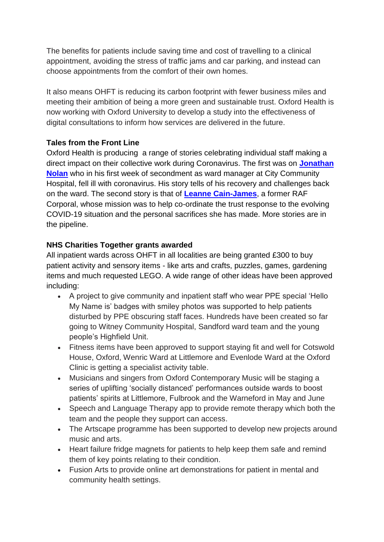The benefits for patients include saving time and cost of travelling to a clinical appointment, avoiding the stress of traffic jams and car parking, and instead can choose appointments from the comfort of their own homes.

It also means OHFT is reducing its carbon footprint with fewer business miles and meeting their ambition of being a more green and sustainable trust. Oxford Health is now working with Oxford University to develop a study into the effectiveness of digital consultations to inform how services are delivered in the future.

# **Tales from the Front Line**

Oxford Health is producing a range of stories celebrating individual staff making a direct impact on their collective work during Coronavirus. The first was on **[Jonathan](https://www.oxfordhealth.nhs.uk/news/tales-from-the-frontline-senior-nurse-beats-covid-to-return-to-city-community-hospital/)  [Nolan](https://www.oxfordhealth.nhs.uk/news/tales-from-the-frontline-senior-nurse-beats-covid-to-return-to-city-community-hospital/)** who in his first week of secondment as ward manager at City Community Hospital, fell ill with coronavirus. His story tells of his recovery and challenges back on the ward. The second story is that of **[Leanne Cain-James](https://www.oxfordhealth.nhs.uk/news/from-raf-corporal-to-serving-on-the-nhs-front-line/)**, a former RAF Corporal, whose mission was to help co-ordinate the trust response to the evolving COVID-19 situation and the personal sacrifices she has made. More stories are in the pipeline.

## **NHS Charities Together grants awarded**

All inpatient wards across OHFT in all localities are being granted £300 to buy patient activity and sensory items - like arts and crafts, puzzles, games, gardening items and much requested LEGO. A wide range of other ideas have been approved including:

- A project to give community and inpatient staff who wear PPE special 'Hello My Name is' badges with smiley photos was supported to help patients disturbed by PPE obscuring staff faces. Hundreds have been created so far going to Witney Community Hospital, Sandford ward team and the young people's Highfield Unit.
- Fitness items have been approved to support staying fit and well for Cotswold House, Oxford, Wenric Ward at Littlemore and Evenlode Ward at the Oxford Clinic is getting a specialist activity table.
- Musicians and singers from Oxford Contemporary Music will be staging a series of uplifting 'socially distanced' performances outside wards to boost patients' spirits at Littlemore, Fulbrook and the Warneford in May and June
- Speech and Language Therapy app to provide remote therapy which both the team and the people they support can access.
- The Artscape programme has been supported to develop new projects around music and arts.
- Heart failure fridge magnets for patients to help keep them safe and remind them of key points relating to their condition.
- Fusion Arts to provide online art demonstrations for patient in mental and community health settings.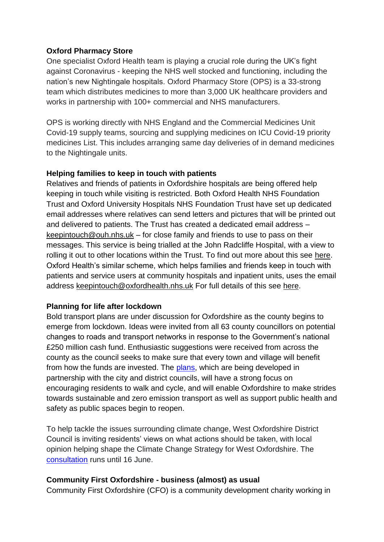### **Oxford Pharmacy Store**

One specialist Oxford Health team is playing a crucial role during the UK's fight against Coronavirus - keeping the NHS well stocked and functioning, including the nation's new Nightingale hospitals. Oxford Pharmacy Store (OPS) is a 33-strong team which distributes medicines to more than 3,000 UK healthcare providers and works in partnership with 100+ commercial and NHS manufacturers.

OPS is working directly with NHS England and the Commercial Medicines Unit Covid-19 supply teams, sourcing and supplying medicines on ICU Covid-19 priority medicines List. This includes arranging same day deliveries of in demand medicines to the Nightingale units.

### **Helping families to keep in touch with patients**

Relatives and friends of patients in Oxfordshire hospitals are being offered help keeping in touch while visiting is restricted. Both Oxford Health NHS Foundation Trust and Oxford University Hospitals NHS Foundation Trust have set up dedicated email addresses where relatives can send letters and pictures that will be printed out and delivered to patients. The Trust has created a dedicated email address – [keepintouch@ouh.nhs.uk](mailto:keepintouch@ouh.nhs.uk) – for close family and friends to use to pass on their messages. This service is being trialled at the John Radcliffe Hospital, with a view to rolling it out to other locations within the Trust. To find out more about this see [here.](https://www.ouh.nhs.uk/news/article.aspx?id=1258) Oxford Health's similar scheme, which helps families and friends keep in touch with patients and service users at community hospitals and inpatient units, uses the email address [keepintouch@oxfordhealth.nhs.uk](mailto:keepintouch@oxfordhealth.nhs.uk) For full details of this see [here.](https://www.oxfordhealth.nhs.uk/news/show-them-you-care-keep-in-touch-with-a-letter-to-a-loved-one/?fbclid=IwAR2bopJRXU6L49he9A_21H5yiJ42ViQeew8X8sf0uUCgUdSlP-8IYx8xaXs)

#### **Planning for life after lockdown**

Bold transport plans are under discussion for Oxfordshire as the county begins to emerge from lockdown. Ideas were invited from all 63 county councillors on potential changes to roads and transport networks in response to the Government's national £250 million cash fund. Enthusiastic suggestions were received from across the county as the council seeks to make sure that every town and village will benefit from how the funds are invested. The [plans,](https://news.oxfordshire.gov.uk/bold-plans-for-transport-as-oxfordshire-prepares-for-the-new-normal/) which are being developed in partnership with the city and district councils, will have a strong focus on encouraging residents to walk and cycle, and will enable Oxfordshire to make strides towards sustainable and zero emission transport as well as support public health and safety as public spaces begin to reopen.

To help tackle the issues surrounding climate change, West Oxfordshire District Council is inviting residents' views on what actions should be taken, with local opinion helping shape the Climate Change Strategy for West Oxfordshire. The [consultation](https://www.westoxon.gov.uk/environment/climate-action/your-views-on-climate-action/?utm_source=Twitter&utm_medium=social&utm_campaign=SocialSignIn) runs until 16 June.

#### **Community First Oxfordshire - business (almost) as usual**

Community First Oxfordshire (CFO) is a community development charity working in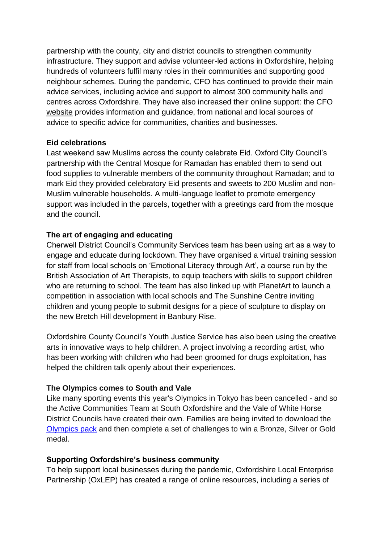partnership with the county, city and district councils to strengthen community infrastructure. They support and advise volunteer-led actions in Oxfordshire, helping hundreds of volunteers fulfil many roles in their communities and supporting good neighbour schemes. During the pandemic, CFO has continued to provide their main advice services, including advice and support to almost 300 community halls and centres across Oxfordshire. They have also increased their online support: the CFO [website](https://www.communityfirstoxon.org/centenary/) provides information and guidance, from national and local sources of advice to specific advice for communities, charities and businesses.

### **Eid celebrations**

Last weekend saw Muslims across the county celebrate Eid. Oxford City Council's partnership with the Central Mosque for Ramadan has enabled them to send out food supplies to vulnerable members of the community throughout Ramadan; and to mark Eid they provided celebratory Eid presents and sweets to 200 Muslim and non-Muslim vulnerable households. A multi-language leaflet to promote emergency support was included in the parcels, together with a greetings card from the mosque and the council.

### **The art of engaging and educating**

Cherwell District Council's Community Services team has been using art as a way to engage and educate during lockdown. They have organised a virtual training session for staff from local schools on 'Emotional Literacy through Art', a course run by the British Association of Art Therapists, to equip teachers with skills to support children who are returning to school. The team has also linked up with PlanetArt to launch a competition in association with local schools and The Sunshine Centre inviting children and young people to submit designs for a piece of sculpture to display on the new Bretch Hill development in Banbury Rise.

Oxfordshire County Council's Youth Justice Service has also been using the creative arts in innovative ways to help children. A project involving a recording artist, who has been working with children who had been groomed for drugs exploitation, has helped the children talk openly about their experiences.

### **The Olympics comes to South and Vale**

Like many sporting events this year's Olympics in Tokyo has been cancelled - and so the Active Communities Team at South Oxfordshire and the Vale of White Horse District Councils have created their own. Families are being invited to download the [Olympics pack](file:///C:/Users/hg818218/Downloads/South%20and%20Vale%20Olympics.pdf) and then complete a set of challenges to win a Bronze, Silver or Gold medal.

#### **Supporting Oxfordshire's business community**

To help support local businesses during the pandemic, Oxfordshire Local Enterprise Partnership (OxLEP) has created a range of online resources, including a series of